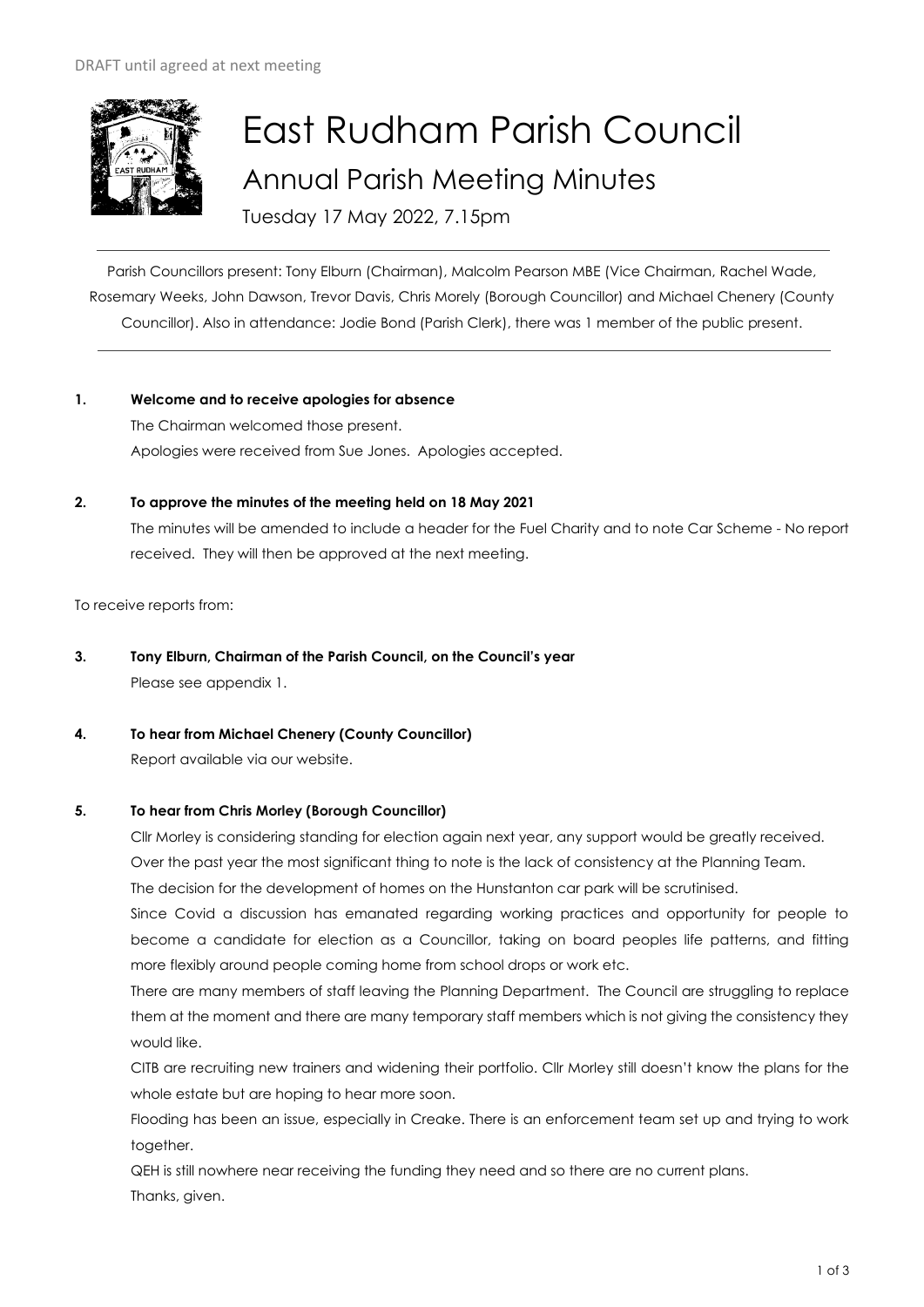

# East Rudham Parish Council Annual Parish Meeting Minutes

Tuesday 17 May 2022, 7.15pm

Parish Councillors present: Tony Elburn (Chairman), Malcolm Pearson MBE (Vice Chairman, Rachel Wade, Rosemary Weeks, John Dawson, Trevor Davis, Chris Morely (Borough Councillor) and Michael Chenery (County Councillor). Also in attendance: Jodie Bond (Parish Clerk), there was 1 member of the public present.

- **1. Welcome and to receive apologies for absence** The Chairman welcomed those present. Apologies were received from Sue Jones. Apologies accepted.
- **2. To approve the minutes of the meeting held on 18 May 2021**

The minutes will be amended to include a header for the Fuel Charity and to note Car Scheme - No report received. They will then be approved at the next meeting.

To receive reports from:

- **3. Tony Elburn, Chairman of the Parish Council, on the Council's year** Please see appendix 1.
- **4. To hear from Michael Chenery (County Councillor)**

Report available via our website.

## **5. To hear from Chris Morley (Borough Councillor)**

Cllr Morley is considering standing for election again next year, any support would be greatly received. Over the past year the most significant thing to note is the lack of consistency at the Planning Team. The decision for the development of homes on the Hunstanton car park will be scrutinised.

Since Covid a discussion has emanated regarding working practices and opportunity for people to become a candidate for election as a Councillor, taking on board peoples life patterns, and fitting more flexibly around people coming home from school drops or work etc.

There are many members of staff leaving the Planning Department. The Council are struggling to replace them at the moment and there are many temporary staff members which is not giving the consistency they would like.

CITB are recruiting new trainers and widening their portfolio. Cllr Morley still doesn't know the plans for the whole estate but are hoping to hear more soon.

Flooding has been an issue, especially in Creake. There is an enforcement team set up and trying to work together.

QEH is still nowhere near receiving the funding they need and so there are no current plans. Thanks, given.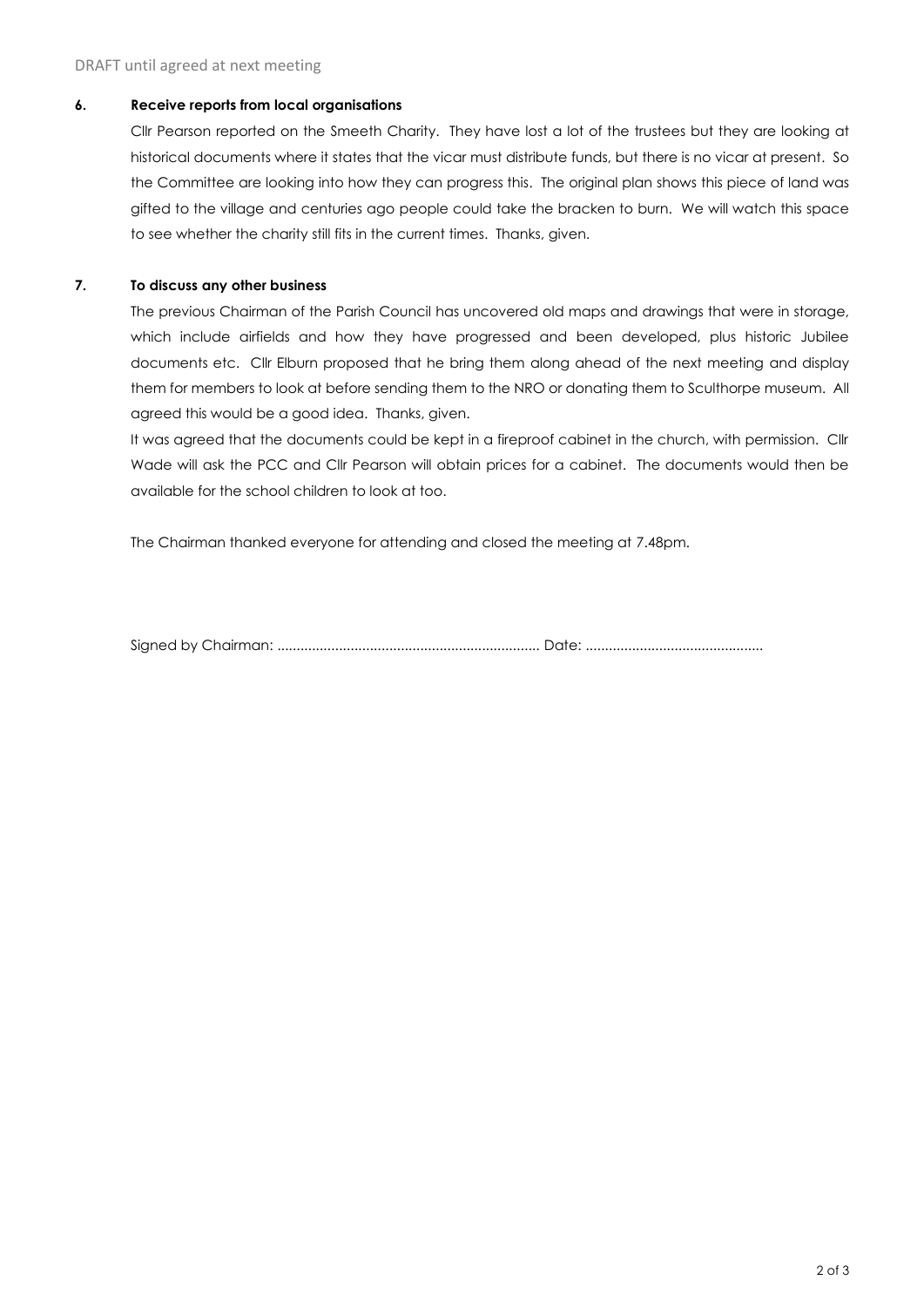#### **6. Receive reports from local organisations**

Cllr Pearson reported on the Smeeth Charity. They have lost a lot of the trustees but they are looking at historical documents where it states that the vicar must distribute funds, but there is no vicar at present. So the Committee are looking into how they can progress this. The original plan shows this piece of land was gifted to the village and centuries ago people could take the bracken to burn. We will watch this space to see whether the charity still fits in the current times. Thanks, given.

## **7. To discuss any other business**

The previous Chairman of the Parish Council has uncovered old maps and drawings that were in storage, which include airfields and how they have progressed and been developed, plus historic Jubilee documents etc. Cllr Elburn proposed that he bring them along ahead of the next meeting and display them for members to look at before sending them to the NRO or donating them to Sculthorpe museum. All agreed this would be a good idea. Thanks, given.

It was agreed that the documents could be kept in a fireproof cabinet in the church, with permission. Cllr Wade will ask the PCC and Cllr Pearson will obtain prices for a cabinet. The documents would then be available for the school children to look at too.

The Chairman thanked everyone for attending and closed the meeting at 7.48pm.

Signed by Chairman: .................................................................... Date: ..............................................